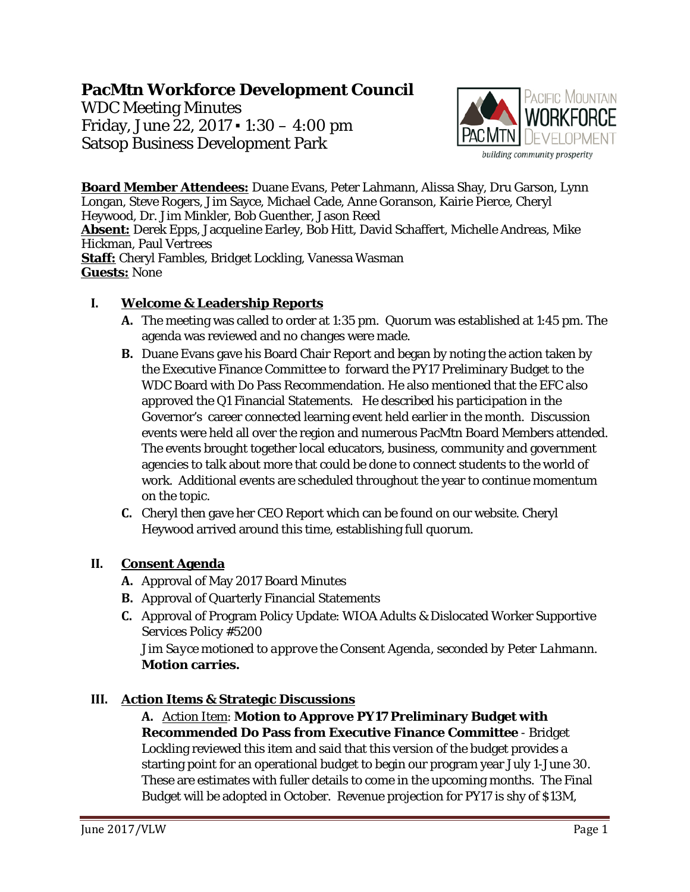# **PacMtn Workforce Development Council**

WDC Meeting Minutes Friday, June 22, 2017 ▪ 1:30 – 4:00 pm Satsop Business Development Park



**Board Member Attendees:** Duane Evans, Peter Lahmann, Alissa Shay, Dru Garson, Lynn Longan, Steve Rogers, Jim Sayce, Michael Cade, Anne Goranson, Kairie Pierce, Cheryl Heywood, Dr. Jim Minkler, Bob Guenther, Jason Reed **Absent:** Derek Epps, Jacqueline Earley, Bob Hitt, David Schaffert, Michelle Andreas, Mike Hickman, Paul Vertrees **Staff:** Cheryl Fambles, Bridget Lockling, Vanessa Wasman **Guests:** None

## **I. Welcome & Leadership Reports**

- **A.** The meeting was called to order at 1:35 pm. Quorum was established at 1:45 pm. The agenda was reviewed and no changes were made.
- **B.** Duane Evans gave his Board Chair Report and began by noting the action taken by the Executive Finance Committee to forward the PY17 Preliminary Budget to the WDC Board with Do Pass Recommendation. He also mentioned that the EFC also approved the Q1 Financial Statements. He described his participation in the Governor's career connected learning event held earlier in the month. Discussion events were held all over the region and numerous PacMtn Board Members attended. The events brought together local educators, business, community and government agencies to talk about more that could be done to connect students to the world of work. Additional events are scheduled throughout the year to continue momentum on the topic.
- **C.** Cheryl then gave her CEO Report which can be found on our website. Cheryl Heywood arrived around this time, establishing full quorum.

## **II. Consent Agenda**

- **A.** Approval of May 2017 Board Minutes
- **B.** Approval of Quarterly Financial Statements
- **C.** Approval of Program Policy Update: WIOA Adults & Dislocated Worker Supportive Services Policy #5200

*Jim Sayce motioned to approve the Consent Agenda, seconded by Peter Lahmann.*  **Motion carries.**

## **III. Action Items & Strategic Discussions**

**A.** Action Item: **Motion to Approve PY17 Preliminary Budget with Recommended Do Pass from Executive Finance Committee** - Bridget Lockling reviewed this item and said that this version of the budget provides a starting point for an operational budget to begin our program year July 1-June 30. These are estimates with fuller details to come in the upcoming months. The Final Budget will be adopted in October. Revenue projection for PY17 is shy of \$13M,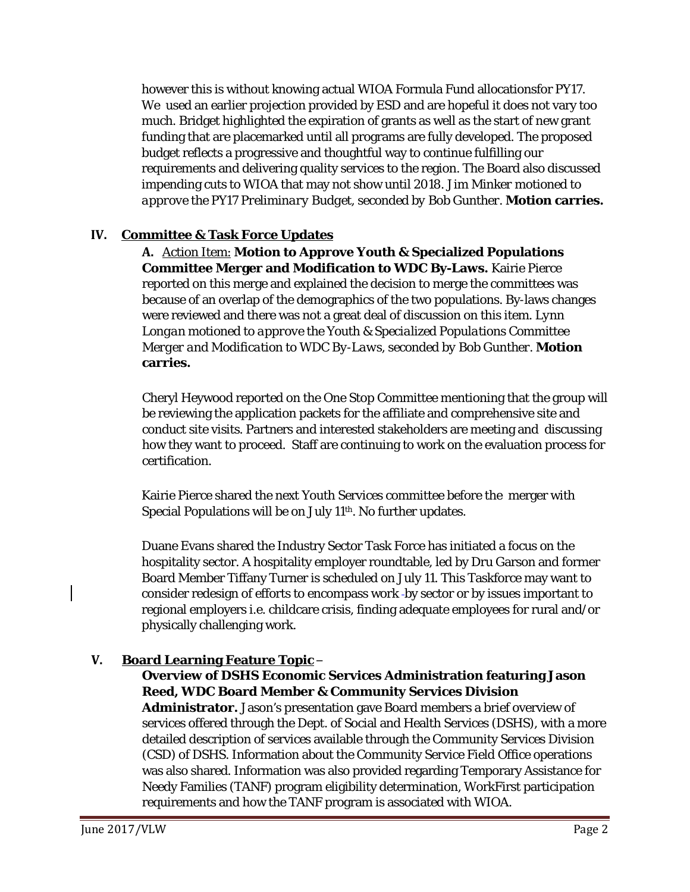however this is without knowing actual WIOA Formula Fund allocationsfor PY17. We used an earlier projection provided by ESD and are hopeful it does not vary too much. Bridget highlighted the expiration of grants as well as the start of new grant funding that are placemarked until all programs are fully developed. The proposed budget reflects a progressive and thoughtful way to continue fulfilling our requirements and delivering quality services to the region. The Board also discussed impending cuts to WIOA that may not show until 2018. *Jim Minker motioned to approve the PY17 Preliminary Budget, seconded by Bob Gunther.* **Motion carries.**

## **IV. Committee & Task Force Updates**

**A.** Action Item: **Motion to Approve Youth & Specialized Populations Committee Merger and Modification to WDC By-Laws.** Kairie Pierce reported on this merge and explained the decision to merge the committees was because of an overlap of the demographics of the two populations. By-laws changes were reviewed and there was not a great deal of discussion on this item. *Lynn Longan motioned to approve the Youth & Specialized Populations Committee Merger and Modification to WDC By-Laws, seconded by Bob Gunther.* **Motion carries.**

Cheryl Heywood reported on the One Stop Committee mentioning that the group will be reviewing the application packets for the affiliate and comprehensive site and conduct site visits. Partners and interested stakeholders are meeting and discussing how they want to proceed. Staff are continuing to work on the evaluation process for certification.

Kairie Pierce shared the next Youth Services committee before the merger with Special Populations will be on July 11th. No further updates.

Duane Evans shared the Industry Sector Task Force has initiated a focus on the hospitality sector. A hospitality employer roundtable, led by Dru Garson and former Board Member Tiffany Turner is scheduled on July 11. This Taskforce may want to consider redesign of efforts to encompass work -by sector or by issues important to regional employers i.e. childcare crisis, finding adequate employees for rural and/or physically challenging work.

## **V. Board Learning Feature Topic** –

## **Overview of DSHS Economic Services Administration featuring Jason Reed, WDC Board Member & Community Services Division**

**Administrator.** Jason's presentation gave Board members a brief overview of services offered through the Dept. of Social and Health Services (DSHS), with a more detailed description of services available through the Community Services Division (CSD) of DSHS. Information about the Community Service Field Office operations was also shared. Information was also provided regarding Temporary Assistance for Needy Families (TANF) program eligibility determination, WorkFirst participation requirements and how the TANF program is associated with WIOA.